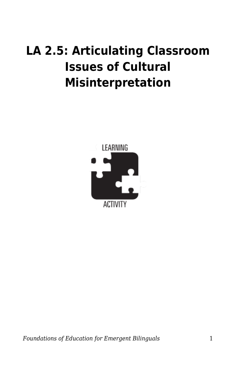## **LA 2.5: Articulating Classroom Issues of Cultural Misinterpretation**



*Foundations of Education for Emergent Bilinguals* 1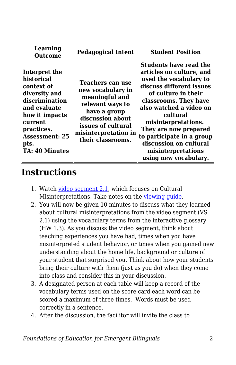| Learning<br><b>Outcome</b>                                                                                                                                                                        | <b>Pedagogical Intent</b>                                                                                                                                                          | <b>Student Position</b>                                                                                                                                                                                                                                                                                                                               |
|---------------------------------------------------------------------------------------------------------------------------------------------------------------------------------------------------|------------------------------------------------------------------------------------------------------------------------------------------------------------------------------------|-------------------------------------------------------------------------------------------------------------------------------------------------------------------------------------------------------------------------------------------------------------------------------------------------------------------------------------------------------|
| Interpret the<br>historical<br>context of<br>diversity and<br>discrimination<br>and evaluate<br>how it impacts<br>current<br>practices.<br><b>Assessment: 25</b><br>pts.<br><b>TA: 40 Minutes</b> | Teachers can use<br>new vocabulary in<br>meaningful and<br>relevant ways to<br>have a group<br>discussion about<br>issues of cultural<br>misinterpretation in<br>their classrooms. | Students have read the<br>articles on culture, and<br>used the vocabulary to<br>discuss different issues<br>of culture in their<br>classrooms. They have<br>also watched a video on<br>cultural<br>misinterpretations.<br>They are now prepared<br>to participate in a group<br>discussion on cultural<br>misinterpretations<br>using new vocabulary. |

## **Instructions**

- 1. Watch [video segment 2.1](https://education.byu.edu/tell/foundations-2-1), which focuses on Cultural Misinterpretations. Take notes on the viewing quide.
- 2. You will now be given 10 minutes to discuss what they learned about cultural misinterpretations from the video segment (VS 2.1) using the vocabulary terms from the interactive glossary (HW 1.3). As you discuss the video segment, think about teaching experiences you have had, times when you have misinterpreted student behavior, or times when you gained new understanding about the home life, background or culture of your student that surprised you. Think about how your students bring their culture with them (just as you do) when they come into class and consider this in your discussion.
- 3. A designated person at each table will keep a record of the vocabulary terms used on the score card each word can be scored a maximum of three times. Words must be used correctly in a sentence.
- 4. After the discussion, the facilitor will invite the class to